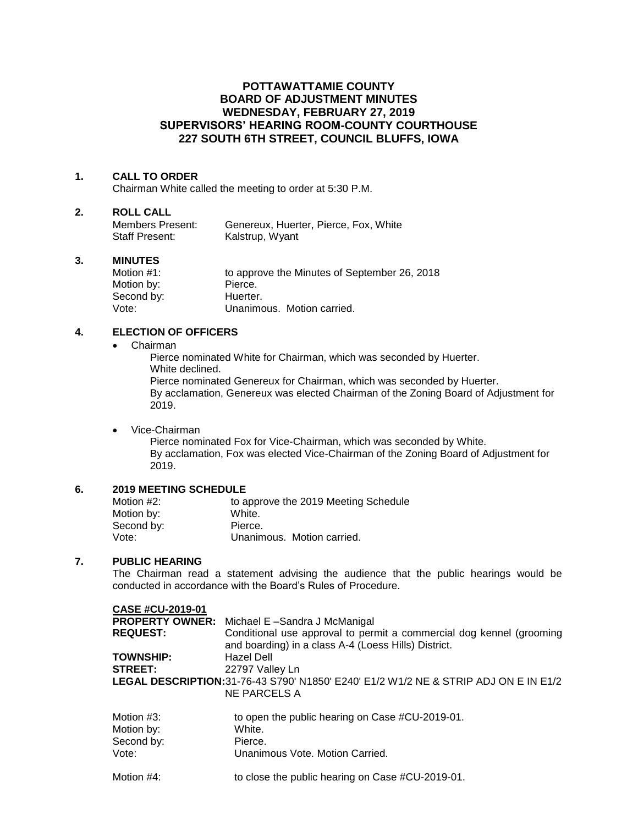# **POTTAWATTAMIE COUNTY BOARD OF ADJUSTMENT MINUTES WEDNESDAY, FEBRUARY 27, 2019 SUPERVISORS' HEARING ROOM-COUNTY COURTHOUSE 227 SOUTH 6TH STREET, COUNCIL BLUFFS, IOWA**

## **1. CALL TO ORDER**

Chairman White called the meeting to order at 5:30 P.M.

#### **2. ROLL CALL**

| Members Present: | Genereux, Huerter, Pierce, Fox, White |
|------------------|---------------------------------------|
| Staff Present:   | Kalstrup, Wyant                       |

#### **3. MINUTES**

| Motion #1: | to approve the Minutes of September 26, 2018 |
|------------|----------------------------------------------|
| Motion by: | Pierce.                                      |
| Second by: | Huerter.                                     |
| Vote:      | Unanimous. Motion carried.                   |

## **4. ELECTION OF OFFICERS**

#### Chairman

Pierce nominated White for Chairman, which was seconded by Huerter. White declined.

Pierce nominated Genereux for Chairman, which was seconded by Huerter. By acclamation, Genereux was elected Chairman of the Zoning Board of Adjustment for 2019.

## Vice-Chairman

Pierce nominated Fox for Vice-Chairman, which was seconded by White. By acclamation, Fox was elected Vice-Chairman of the Zoning Board of Adjustment for 2019.

# **6. 2019 MEETING SCHEDULE**

| Motion #2: | to approve the 2019 Meeting Schedule |
|------------|--------------------------------------|
| Motion by: | White.                               |
| Second by: | Pierce.                              |
| Vote:      | Unanimous. Motion carried.           |

## **7. PUBLIC HEARING**

The Chairman read a statement advising the audience that the public hearings would be conducted in accordance with the Board's Rules of Procedure.

| <b>CASE #CU-2019-01</b> |                                                                                                                              |
|-------------------------|------------------------------------------------------------------------------------------------------------------------------|
|                         | <b>PROPERTY OWNER:</b> Michael E-Sandra J McManigal                                                                          |
| <b>REQUEST:</b>         | Conditional use approval to permit a commercial dog kennel (grooming<br>and boarding) in a class A-4 (Loess Hills) District. |
| <b>TOWNSHIP:</b>        | Hazel Dell                                                                                                                   |
| <b>STREET:</b>          | 22797 Valley Ln                                                                                                              |
|                         | LEGAL DESCRIPTION: 31-76-43 S790' N1850' E240' E1/2 W1/2 NE & STRIP ADJ ON E IN E1/2<br>NE PARCELS A                         |
|                         |                                                                                                                              |

| Motion #3: | to open the public hearing on Case #CU-2019-01.  |
|------------|--------------------------------------------------|
| Motion by: | White.                                           |
| Second by: | Pierce.                                          |
| Vote:      | Unanimous Vote, Motion Carried.                  |
| Motion #4: | to close the public hearing on Case #CU-2019-01. |